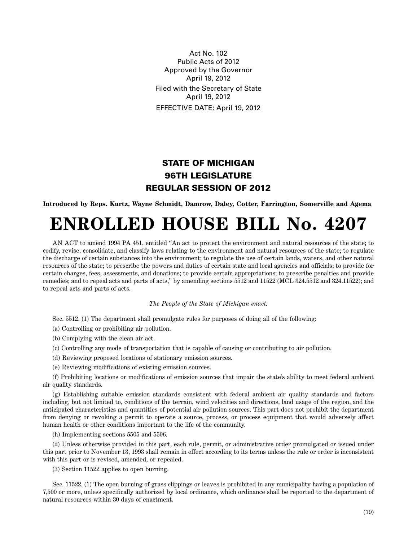Act No. 102 Public Acts of 2012 Approved by the Governor April 19, 2012 Filed with the Secretary of State April 19, 2012 EFFECTIVE DATE: April 19, 2012

## **STATE OF MICHIGAN 96TH LEGISLATURE REGULAR SESSION OF 2012**

**Introduced by Reps. Kurtz, Wayne Schmidt, Damrow, Daley, Cotter, Farrington, Somerville and Agema**

## **ENROLLED HOUSE BILL No. 4207**

AN ACT to amend 1994 PA 451, entitled "An act to protect the environment and natural resources of the state; to codify, revise, consolidate, and classify laws relating to the environment and natural resources of the state; to regulate the discharge of certain substances into the environment; to regulate the use of certain lands, waters, and other natural resources of the state; to prescribe the powers and duties of certain state and local agencies and officials; to provide for certain charges, fees, assessments, and donations; to provide certain appropriations; to prescribe penalties and provide remedies; and to repeal acts and parts of acts," by amending sections 5512 and 11522 (MCL 324.5512 and 324.11522); and to repeal acts and parts of acts.

*The People of the State of Michigan enact:*

Sec. 5512. (1) The department shall promulgate rules for purposes of doing all of the following:

(a) Controlling or prohibiting air pollution.

(b) Complying with the clean air act.

- (c) Controlling any mode of transportation that is capable of causing or contributing to air pollution.
- (d) Reviewing proposed locations of stationary emission sources.
- (e) Reviewing modifications of existing emission sources.

(f) Prohibiting locations or modifications of emission sources that impair the state's ability to meet federal ambient air quality standards.

(g) Establishing suitable emission standards consistent with federal ambient air quality standards and factors including, but not limited to, conditions of the terrain, wind velocities and directions, land usage of the region, and the anticipated characteristics and quantities of potential air pollution sources. This part does not prohibit the department from denying or revoking a permit to operate a source, process, or process equipment that would adversely affect human health or other conditions important to the life of the community.

(h) Implementing sections 5505 and 5506.

(2) Unless otherwise provided in this part, each rule, permit, or administrative order promulgated or issued under this part prior to November 13, 1993 shall remain in effect according to its terms unless the rule or order is inconsistent with this part or is revised, amended, or repealed.

(3) Section 11522 applies to open burning.

Sec. 11522. (1) The open burning of grass clippings or leaves is prohibited in any municipality having a population of 7,500 or more, unless specifically authorized by local ordinance, which ordinance shall be reported to the department of natural resources within 30 days of enactment.